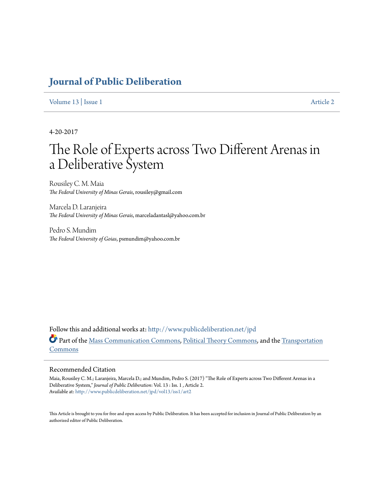## **[Journal of Public Deliberation](http://www.publicdeliberation.net/jpd?utm_source=www.publicdeliberation.net%2Fjpd%2Fvol13%2Fiss1%2Fart2&utm_medium=PDF&utm_campaign=PDFCoverPages)**

[Volume 13](http://www.publicdeliberation.net/jpd/vol13?utm_source=www.publicdeliberation.net%2Fjpd%2Fvol13%2Fiss1%2Fart2&utm_medium=PDF&utm_campaign=PDFCoverPages) | [Issue 1](http://www.publicdeliberation.net/jpd/vol13/iss1?utm_source=www.publicdeliberation.net%2Fjpd%2Fvol13%2Fiss1%2Fart2&utm_medium=PDF&utm_campaign=PDFCoverPages) [Article 2](http://www.publicdeliberation.net/jpd/vol13/iss1/art2?utm_source=www.publicdeliberation.net%2Fjpd%2Fvol13%2Fiss1%2Fart2&utm_medium=PDF&utm_campaign=PDFCoverPages)

4-20-2017

# The Role of Experts across Two Different Arenas in a Deliberative System

Rousiley C. M. Maia *The Federal University of Minas Gerais*, rousiley@gmail.com

Marcela D. Laranjeira *The Federal University of Minas Gerais*, marceladantasl@yahoo.com.br

Pedro S. Mundim *The Federal University of Goias*, psmundim@yahoo.com.br

Follow this and additional works at: [http://www.publicdeliberation.net/jpd](http://www.publicdeliberation.net/jpd?utm_source=www.publicdeliberation.net%2Fjpd%2Fvol13%2Fiss1%2Fart2&utm_medium=PDF&utm_campaign=PDFCoverPages) Part of the [Mass Communication Commons,](http://network.bepress.com/hgg/discipline/334?utm_source=www.publicdeliberation.net%2Fjpd%2Fvol13%2Fiss1%2Fart2&utm_medium=PDF&utm_campaign=PDFCoverPages) [Political Theory Commons,](http://network.bepress.com/hgg/discipline/391?utm_source=www.publicdeliberation.net%2Fjpd%2Fvol13%2Fiss1%2Fart2&utm_medium=PDF&utm_campaign=PDFCoverPages) and the [Transportation](http://network.bepress.com/hgg/discipline/1068?utm_source=www.publicdeliberation.net%2Fjpd%2Fvol13%2Fiss1%2Fart2&utm_medium=PDF&utm_campaign=PDFCoverPages) [Commons](http://network.bepress.com/hgg/discipline/1068?utm_source=www.publicdeliberation.net%2Fjpd%2Fvol13%2Fiss1%2Fart2&utm_medium=PDF&utm_campaign=PDFCoverPages)

#### Recommended Citation

Maia, Rousiley C. M.; Laranjeira, Marcela D.; and Mundim, Pedro S. (2017) "The Role of Experts across Two Different Arenas in a Deliberative System," *Journal of Public Deliberation*: Vol. 13 : Iss. 1 , Article 2. Available at: [http://www.publicdeliberation.net/jpd/vol13/iss1/art2](http://www.publicdeliberation.net/jpd/vol13/iss1/art2?utm_source=www.publicdeliberation.net%2Fjpd%2Fvol13%2Fiss1%2Fart2&utm_medium=PDF&utm_campaign=PDFCoverPages)

This Article is brought to you for free and open access by Public Deliberation. It has been accepted for inclusion in Journal of Public Deliberation by an authorized editor of Public Deliberation.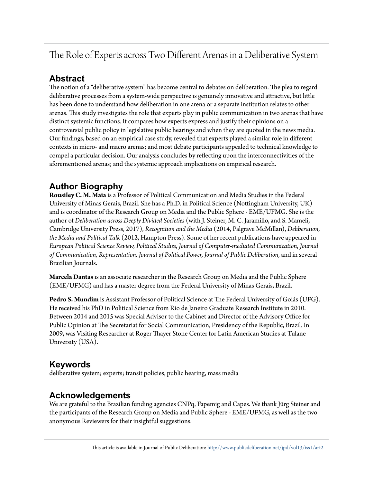## The Role of Experts across Two Different Arenas in a Deliberative System

## **Abstract**

The notion of a "deliberative system" has become central to debates on deliberation. The plea to regard deliberative processes from a system-wide perspective is genuinely innovative and attractive, but little has been done to understand how deliberation in one arena or a separate institution relates to other arenas. This study investigates the role that experts play in public communication in two arenas that have distinct systemic functions. It compares how experts express and justify their opinions on a controversial public policy in legislative public hearings and when they are quoted in the news media. Our findings, based on an empirical case study, revealed that experts played a similar role in different contexts in micro- and macro arenas; and most debate participants appealed to technical knowledge to compel a particular decision. Our analysis concludes by reflecting upon the interconnectivities of the aforementioned arenas; and the systemic approach implications on empirical research.

## **Author Biography**

**Rousiley C. M. Maia** is a Professor of Political Communication and Media Studies in the Federal University of Minas Gerais, Brazil. She has a Ph.D. in Political Science (Nottingham University, UK) and is coordinator of the Research Group on Media and the Public Sphere - EME/UFMG. She is the author of *Deliberation across Deeply Divided Societies* (with J. Steiner, M. C. Jaramillo, and S. Mameli, Cambridge University Press, 2017), *Recognition and the Media* (2014, Palgrave McMillan), *Deliberation, the Media and Political Talk* (2012, Hampton Press). Some of her recent publications have appeared in *European Political Science Review, Political Studies, Journal of Computer-mediated Communication*, *Journal of Communication, Representation, Journal of Political Power, Journal of Public Deliberation,* and in several Brazilian Journals.

**Marcela Dantas**is an associate researcher in the Research Group on Media and the Public Sphere (EME/UFMG) and has a master degree from the Federal University of Minas Gerais, Brazil.

**Pedro S. Mundim** is Assistant Professor of Political Science at The Federal University of Goiás (UFG). He received his PhD in Political Science from Rio de Janeiro Graduate Research Institute in 2010. Between 2014 and 2015 was Special Advisor to the Cabinet and Director of the Advisory Office for Public Opinion at The Secretariat for Social Communication, Presidency of the Republic, Brazil. In 2009, was Visiting Researcher at Roger Thayer Stone Center for Latin American Studies at Tulane University (USA).

### **Keywords**

deliberative system; experts; transit policies, public hearing, mass media

### **Acknowledgements**

We are grateful to the Brazilian funding agencies CNPq, Fapemig and Capes. We thank Jürg Steiner and the participants of the Research Group on Media and Public Sphere - EME/UFMG, as well as the two anonymous Reviewers for their insightful suggestions.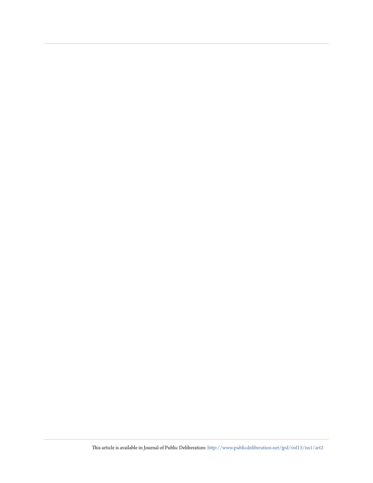This article is available in Journal of Public Deliberation: [http://www.publicdeliberation.net/jpd/vol13/iss1/art2](http://www.publicdeliberation.net/jpd/vol13/iss1/art2?utm_source=www.publicdeliberation.net%2Fjpd%2Fvol13%2Fiss1%2Fart2&utm_medium=PDF&utm_campaign=PDFCoverPages)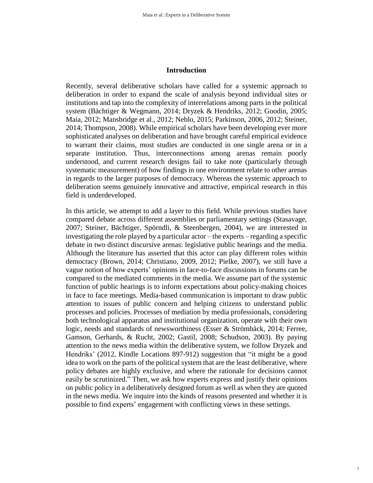#### **Introduction**

Recently, several deliberative scholars have called for a systemic approach to deliberation in order to expand the scale of analysis beyond individual sites or institutions and tap into the complexity of interrelations among parts in the political system (Bächtiger & Wegmann, 2014; Dryzek & Hendriks, 2012; Goodin, 2005; Maia, 2012; Mansbridge et al., 2012; Neblo, 2015; Parkinson, 2006, 2012; Steiner, 2014; Thompson, 2008). While empirical scholars have been developing ever more sophisticated analyses on deliberation and have brought careful empirical evidence to warrant their claims, most studies are conducted in one single arena or in a separate institution. Thus, interconnections among arenas remain poorly understood, and current research designs fail to take note (particularly through systematic measurement) of how findings in one environment relate to other arenas in regards to the larger purposes of democracy. Whereas the systemic approach to deliberation seems genuinely innovative and attractive, empirical research in this field is underdeveloped.

In this article, we attempt to add a layer to this field. While previous studies have compared debate across different assemblies or parliamentary settings (Stasavage, 2007; Steiner, Bächtiger, Spörndli, & Steenbergen, 2004), we are interested in investigating the role played by a particular actor – the experts – regarding a specific debate in two distinct discursive arenas: legislative public hearings and the media. Although the literature has asserted that this actor can play different roles within democracy (Brown, 2014; Christiano, 2009, 2012; Pielke, 2007), we still have a vague notion of how experts' opinions in face-to-face discussions in forums can be compared to the mediated comments in the media. We assume part of the systemic function of public hearings is to inform expectations about policy-making choices in face to face meetings. Media-based communication is important to draw public attention to issues of public concern and helping citizens to understand public processes and policies. Processes of mediation by media professionals, considering both technological apparatus and institutional organization, operate with their own logic, needs and standards of newsworthiness (Esser & Strömbäck, 2014; Ferree, Gamson, Gerhards, & Rucht, 2002; Gastil, 2008; Schudson, 2003). By paying attention to the news media within the deliberative system, we follow Dryzek and Hendriks' (2012, Kindle Locations 897-912) suggestion that "it might be a good idea to work on the parts of the political system that are the least deliberative, where policy debates are highly exclusive, and where the rationale for decisions cannot easily be scrutinized." Then, we ask how experts express and justify their opinions on public policy in a deliberatively designed forum as well as when they are quoted in the news media. We inquire into the kinds of reasons presented and whether it is possible to find experts' engagement with conflicting views in these settings.

1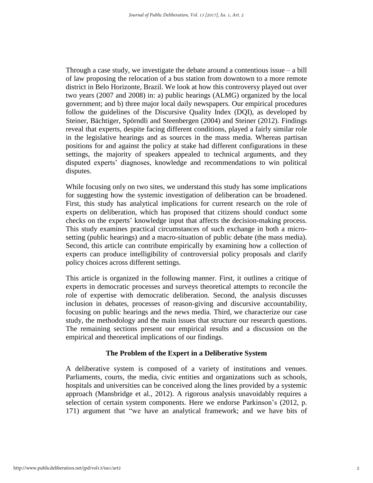Through a case study, we investigate the debate around a contentious issue – a bill of law proposing the relocation of a bus station from downtown to a more remote district in Belo Horizonte, Brazil. We look at how this controversy played out over two years (2007 and 2008) in: a) public hearings (ALMG) organized by the local government; and b) three major local daily newspapers. Our empirical procedures follow the guidelines of the Discursive Quality Index (DQI), as developed by Steiner, Bächtiger, Spörndli and Steenbergen (2004) and Steiner (2012). Findings reveal that experts, despite facing different conditions, played a fairly similar role in the legislative hearings and as sources in the mass media. Whereas partisan positions for and against the policy at stake had different configurations in these settings, the majority of speakers appealed to technical arguments, and they disputed experts' diagnoses, knowledge and recommendations to win political disputes.

While focusing only on two sites, we understand this study has some implications for suggesting how the systemic investigation of deliberation can be broadened. First, this study has analytical implications for current research on the role of experts on deliberation, which has proposed that citizens should conduct some checks on the experts' knowledge input that affects the decision-making process. This study examines practical circumstances of such exchange in both a microsetting (public hearings) and a macro-situation of public debate (the mass media). Second, this article can contribute empirically by examining how a collection of experts can produce intelligibility of controversial policy proposals and clarify policy choices across different settings.

This article is organized in the following manner. First, it outlines a critique of experts in democratic processes and surveys theoretical attempts to reconcile the role of expertise with democratic deliberation. Second, the analysis discusses inclusion in debates, processes of reason-giving and discursive accountability, focusing on public hearings and the news media. Third, we characterize our case study, the methodology and the main issues that structure our research questions. The remaining sections present our empirical results and a discussion on the empirical and theoretical implications of our findings.

#### **The Problem of the Expert in a Deliberative System**

A deliberative system is composed of a variety of institutions and venues. Parliaments, courts, the media, civic entities and organizations such as schools, hospitals and universities can be conceived along the lines provided by a systemic approach (Mansbridge et al., 2012). A rigorous analysis unavoidably requires a selection of certain system components. Here we endorse Parkinson's (2012, p. 171) argument that "we have an analytical framework; and we have bits of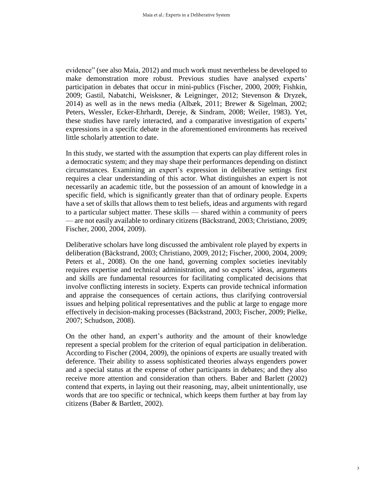evidence" (see also Maia, 2012) and much work must nevertheless be developed to make demonstration more robust. Previous studies have analysed experts' participation in debates that occur in mini-publics (Fischer, 2000, 2009; Fishkin, 2009; Gastil, Nabatchi, Weisksner, & Leigninger, 2012; Stevenson & Dryzek, 2014) as well as in the news media (Albæk, 2011; Brewer & Sigelman, 2002; Peters, Wessler, Ecker-Ehrhardt, Dereje, & Sindram, 2008; Weiler, 1983). Yet, these studies have rarely interacted, and a comparative investigation of experts' expressions in a specific debate in the aforementioned environments has received little scholarly attention to date.

In this study, we started with the assumption that experts can play different roles in a democratic system; and they may shape their performances depending on distinct circumstances. Examining an expert's expression in deliberative settings first requires a clear understanding of this actor. What distinguishes an expert is not necessarily an academic title, but the possession of an amount of knowledge in a specific field, which is significantly greater than that of ordinary people. Experts have a set of skills that allows them to test beliefs, ideas and arguments with regard to a particular subject matter. These skills — shared within a community of peers — are not easily available to ordinary citizens (Bäckstrand, 2003; Christiano, 2009; Fischer, 2000, 2004, 2009).

Deliberative scholars have long discussed the ambivalent role played by experts in deliberation (Bäckstrand, 2003; Christiano, 2009, 2012; Fischer, 2000, 2004, 2009; Peters et al., 2008). On the one hand, governing complex societies inevitably requires expertise and technical administration, and so experts' ideas, arguments and skills are fundamental resources for facilitating complicated decisions that involve conflicting interests in society. Experts can provide technical information and appraise the consequences of certain actions, thus clarifying controversial issues and helping political representatives and the public at large to engage more effectively in decision-making processes (Bäckstrand, 2003; Fischer, 2009; Pielke, 2007; Schudson, 2008).

On the other hand, an expert's authority and the amount of their knowledge represent a special problem for the criterion of equal participation in deliberation. According to Fischer (2004, 2009), the opinions of experts are usually treated with deference. Their ability to assess sophisticated theories always engenders power and a special status at the expense of other participants in debates; and they also receive more attention and consideration than others. Baber and Barlett (2002) contend that experts, in laying out their reasoning, may, albeit unintentionally, use words that are too specific or technical, which keeps them further at bay from lay citizens (Baber & Bartlett, 2002).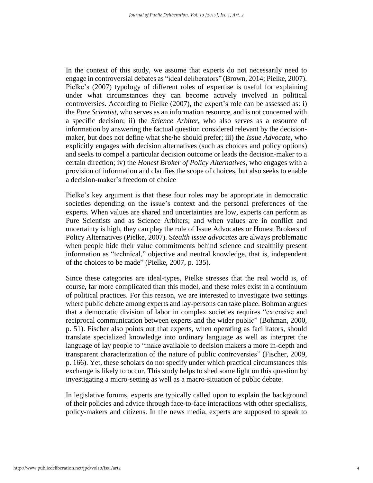In the context of this study, we assume that experts do not necessarily need to engage in controversial debates as "ideal deliberators" (Brown, 2014; Pielke, 2007). Pielke's (2007) typology of different roles of expertise is useful for explaining under what circumstances they can become actively involved in political controversies. According to Pielke (2007), the expert's role can be assessed as: i) the *Pure Scientist,* who serves as an information resource, and is not concerned with a specific decision; ii) the *Science Arbiter,* who also serves as a resource of information by answering the factual question considered relevant by the decisionmaker, but does not define what she/he should prefer; iii) the *Issue Advocate*, who explicitly engages with decision alternatives (such as choices and policy options) and seeks to compel a particular decision outcome or leads the decision-maker to a certain direction; iv) the *Honest Broker of Policy Alternatives*, who engages with a provision of information and clarifies the scope of choices, but also seeks to enable a decision-maker's freedom of choice

Pielke's key argument is that these four roles may be appropriate in democratic societies depending on the issue's context and the personal preferences of the experts. When values are shared and uncertainties are low, experts can perform as Pure Scientists and as Science Arbiters; and when values are in conflict and uncertainty is high, they can play the role of Issue Advocates or Honest Brokers of Policy Alternatives (Pielke, 2007). S*tealth issue advocates* are always problematic when people hide their value commitments behind science and stealthily present information as "technical," objective and neutral knowledge, that is, independent of the choices to be made" (Pielke, 2007, p. 135).

Since these categories are ideal-types, Pielke stresses that the real world is, of course, far more complicated than this model, and these roles exist in a continuum of political practices. For this reason, we are interested to investigate two settings where public debate among experts and lay-persons can take place. Bohman argues that a democratic division of labor in complex societies requires "extensive and reciprocal communication between experts and the wider public" (Bohman, 2000, p. 51). Fischer also points out that experts, when operating as facilitators, should translate specialized knowledge into ordinary language as well as interpret the language of lay people to "make available to decision makers a more in-depth and transparent characterization of the nature of public controversies" (Fischer, 2009, p. 166). Yet, these scholars do not specify under which practical circumstances this exchange is likely to occur. This study helps to shed some light on this question by investigating a micro-setting as well as a macro-situation of public debate.

In legislative forums, experts are typically called upon to explain the background of their policies and advice through face-to-face interactions with other specialists, policy-makers and citizens. In the news media, experts are supposed to speak to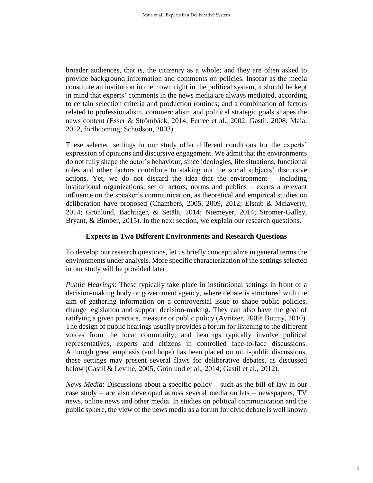broader audiences, that is, the citizenry as a whole; and they are often asked to provide background information and comments on policies. Insofar as the media constitute an institution in their own right in the political system, it should be kept in mind that experts' comments in the news media are always mediated, according to certain selection criteria and production routines; and a combination of factors related to professionalism, commercialism and political strategic goals shapes the news content (Esser & Strömbäck, 2014; Ferree et al., 2002; Gastil, 2008; Maia, 2012, forthcoming; Schudson, 2003).

These selected settings in our study offer different conditions for the experts' expression of opinions and discursive engagement. We admit that the environments do not fully shape the actor's behaviour, since ideologies, life situations, functional roles and other factors contribute to staking out the social subjects' discursive actions. Yet, we do not discard the idea that the environment – including institutional organizations, set of actors, norms and publics – exerts a relevant influence on the speaker's communication, as theoretical and empirical studies on deliberation have proposed (Chambers, 2005, 2009, 2012; Elstub & Mclaverty, 2014; Grönlund, Bachtiger, & Setälä, 2014; Niemeyer, 2014; Stromer-Galley, Bryant, & Bimber, 2015). In the next section, we explain our research questions.

#### **Experts in Two Different Environments and Research Questions**

To develop our research questions, let us briefly conceptualize in general terms the environments under analysis. More specific characterization of the settings selected in our study will be provided later.

*Public Hearings*: These typically take place in institutional settings in front of a decision-making body or government agency, where debate is structured with the aim of gathering information on a controversial issue to shape public policies, change legislation and support decision-making. They can also have the goal of ratifying a given practice, measure or public policy (Avritzer, 2009; Buttny, 2010). The design of public hearings usually provides a forum for listening to the different voices from the local community; and hearings typically involve political representatives, experts and citizens in controlled face-to-face discussions. Although great emphasis (and hope) has been placed on mini-public discussions, these settings may present several flaws for deliberative debates, as discussed below (Gastil & Levine, 2005; Grönlund et al., 2014; Gastil et al., 2012).

*News Media*: Discussions about a specific policy – such as the bill of law in our case study – are also developed across several media outlets – newspapers, TV news, online news and other media. In studies on political communication and the public sphere, the view of the news media as a forum for civic debate is well known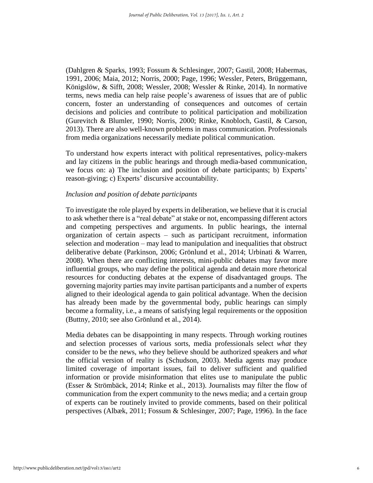(Dahlgren & Sparks, 1993; Fossum & Schlesinger, 2007; Gastil, 2008; Habermas, 1991, 2006; Maia, 2012; Norris, 2000; Page, 1996; Wessler, Peters, Brüggemann, Königslöw, & Sifft, 2008; Wessler, 2008; Wessler & Rinke, 2014). In normative terms, news media can help raise people's awareness of issues that are of public concern, foster an understanding of consequences and outcomes of certain decisions and policies and contribute to political participation and mobilization (Gurevitch & Blumler, 1990; Norris, 2000; Rinke, Knobloch, Gastil, & Carson, 2013). There are also well-known problems in mass communication. Professionals from media organizations necessarily mediate political communication.

To understand how experts interact with political representatives, policy-makers and lay citizens in the public hearings and through media-based communication, we focus on: a) The inclusion and position of debate participants; b) Experts' reason-giving; c) Experts' discursive accountability.

#### *Inclusion and position of debate participants*

To investigate the role played by experts in deliberation, we believe that it is crucial to ask whether there is a "real debate" at stake or not, encompassing different actors and competing perspectives and arguments. In public hearings, the internal organization of certain aspects – such as participant recruitment, information selection and moderation – may lead to manipulation and inequalities that obstruct deliberative debate (Parkinson, 2006; Grönlund et al., 2014; Urbinati & Warren, 2008). When there are conflicting interests, mini-public debates may favor more influential groups, who may define the political agenda and detain more rhetorical resources for conducting debates at the expense of disadvantaged groups. The governing majority parties may invite partisan participants and a number of experts aligned to their ideological agenda to gain political advantage. When the decision has already been made by the governmental body, public hearings can simply become a formality, i.e., a means of satisfying legal requirements or the opposition (Buttny, 2010; see also Grönlund et al., 2014).

Media debates can be disappointing in many respects. Through working routines and selection processes of various sorts, media professionals select *what* they consider to be the news, *who* they believe should be authorized speakers and *what* the official version of reality is (Schudson, 2003). Media agents may produce limited coverage of important issues, fail to deliver sufficient and qualified information or provide misinformation that elites use to manipulate the public (Esser & Strömbäck, 2014; Rinke et al., 2013). Journalists may filter the flow of communication from the expert community to the news media; and a certain group of experts can be routinely invited to provide comments, based on their political perspectives (Albæk, 2011; Fossum & Schlesinger, 2007; Page, 1996). In the face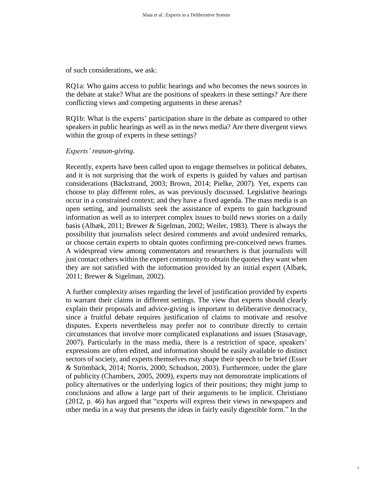of such considerations, we ask:

RQ1a: Who gains access to public hearings and who becomes the news sources in the debate at stake? What are the positions of speakers in these settings? Are there conflicting views and competing arguments in these arenas?

RQ1b: What is the experts' participation share in the debate as compared to other speakers in public hearings as well as in the news media? Are there divergent views within the group of experts in these settings?

#### *Experts' reason-giving*.

Recently, experts have been called upon to engage themselves in political debates, and it is not surprising that the work of experts is guided by values and partisan considerations (Bäckstrand, 2003; Brown, 2014; Pielke, 2007). Yet, experts can choose to play different roles, as was previously discussed. Legislative hearings occur in a constrained context; and they have a fixed agenda. The mass media is an open setting, and journalists seek the assistance of experts to gain background information as well as to interpret complex issues to build news stories on a daily basis (Albæk, 2011; Brewer & Sigelman, 2002; Weiler, 1983). There is always the possibility that journalists select desired comments and avoid undesired remarks, or choose certain experts to obtain quotes confirming pre-conceived news frames. A widespread view among commentators and researchers is that journalists will just contact others within the expert community to obtain the quotes they want when they are not satisfied with the information provided by an initial expert (Albæk, 2011; Brewer & Sigelman, 2002).

A further complexity arises regarding the level of justification provided by experts to warrant their claims in different settings. The view that experts should clearly explain their proposals and advice-giving is important to deliberative democracy, since a fruitful debate requires justification of claims to motivate and resolve disputes. Experts nevertheless may prefer not to contribute directly to certain circumstances that involve more complicated explanations and issues (Stasavage, 2007). Particularly in the mass media, there is a restriction of space, speakers' expressions are often edited, and information should be easily available to distinct sectors of society, and experts themselves may shape their speech to be brief (Esser & Strömbäck, 2014; Norris, 2000; Schudson, 2003). Furthermore, under the glare of publicity (Chambers, 2005, 2009), experts may not demonstrate implications of policy alternatives or the underlying logics of their positions; they might jump to conclusions and allow a large part of their arguments to be implicit. Christiano (2012, p. 46) has argued that "experts will express their views in newspapers and other media in a way that presents the ideas in fairly easily digestible form." In the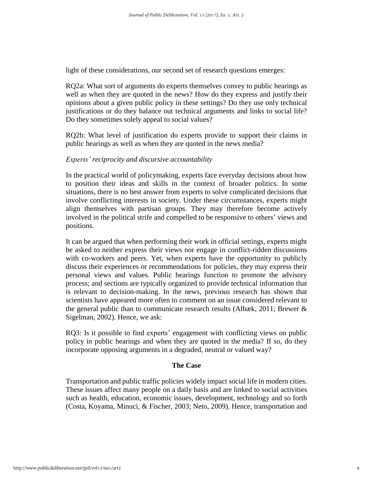light of these considerations, our second set of research questions emerges:

RQ2a: What sort of arguments do experts themselves convey to public hearings as well as when they are quoted in the news? How do they express and justify their opinions about a given public policy in these settings? Do they use only technical justifications or do they balance out technical arguments and links to social life? Do they sometimes solely appeal to social values?

RQ2b: What level of justification do experts provide to support their claims in public hearings as well as when they are quoted in the news media?

#### *Experts' reciprocity and discursive accountability*

In the practical world of policymaking, experts face everyday decisions about how to position their ideas and skills in the context of broader politics. In some situations, there is no best answer from experts to solve complicated decisions that involve conflicting interests in society. Under these circumstances, experts might align themselves with partisan groups. They may therefore become actively involved in the political strife and compelled to be responsive to others' views and positions.

It can be argued that when performing their work in official settings, experts might be asked to neither express their views nor engage in conflict-ridden discussions with co-workers and peers. Yet, when experts have the opportunity to publicly discuss their experiences or recommendations for policies, they may express their personal views and values. Public hearings function to promote the advisory process; and sections are typically organized to provide technical information that is relevant to decision-making. In the news, previous research has shown that scientists have appeared more often to comment on an issue considered relevant to the general public than to communicate research results (Albæk, 2011; Brewer & Sigelman, 2002). Hence, we ask:

RQ3: Is it possible to find experts' engagement with conflicting views on public policy in public hearings and when they are quoted in the media? If so, do they incorporate opposing arguments in a degraded, neutral or valued way?

#### **The Case**

Transportation and public traffic policies widely impact social life in modern cities. These issues affect many people on a daily basis and are linked to social activities such as health, education, economic issues, development, technology and so forth (Costa, Koyama, Minuci, & Fischer, 2003; Neto, 2009). Hence, transportation and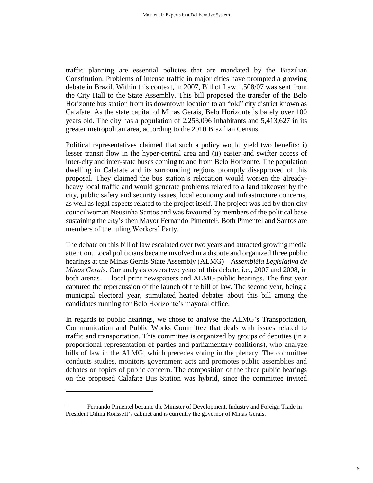traffic planning are essential policies that are mandated by the Brazilian Constitution. Problems of intense traffic in major cities have prompted a growing debate in Brazil. Within this context, in 2007, Bill of Law 1.508/07 was sent from the City Hall to the State Assembly. This bill proposed the transfer of the Belo Horizonte bus station from its downtown location to an "old" city district known as Calafate. As the state capital of Minas Gerais, Belo Horizonte is barely over 100 years old. The city has a population of 2,258,096 inhabitants and 5,413,627 in its greater metropolitan area, according to the 2010 Brazilian Census.

Political representatives claimed that such a policy would yield two benefits: i) lesser transit flow in the hyper-central area and (ii) easier and swifter access of inter-city and inter-state buses coming to and from Belo Horizonte. The population dwelling in Calafate and its surrounding regions promptly disapproved of this proposal. They claimed the bus station's relocation would worsen the alreadyheavy local traffic and would generate problems related to a land takeover by the city, public safety and security issues, local economy and infrastructure concerns, as well as legal aspects related to the project itself. The project was led by then city councilwoman Neusinha Santos and was favoured by members of the political base sustaining the city's then Mayor Fernando Pimentel<sup>1</sup>. Both Pimentel and Santos are members of the ruling Workers' Party.

The debate on this bill of law escalated over two years and attracted growing media attention. Local politicians became involved in a dispute and organized three public hearings at the Minas Gerais State Assembly (ALMG**)** – *Assembléia Legislativa de Minas Gerais*. Our analysis covers two years of this debate, i.e., 2007 and 2008, in both arenas — local print newspapers and ALMG public hearings. The first year captured the repercussion of the launch of the bill of law. The second year, being a municipal electoral year, stimulated heated debates about this bill among the candidates running for Belo Horizonte's mayoral office.

In regards to public hearings, we chose to analyse the ALMG's Transportation, Communication and Public Works Committee that deals with issues related to traffic and transportation. This committee is organized by groups of deputies (in a proportional representation of parties and parliamentary coalitions), who analyze bills of law in the ALMG, which precedes voting in the plenary. The committee conducts studies, monitors government acts and promotes public assemblies and debates on topics of public concern. The composition of the three public hearings on the proposed Calafate Bus Station was hybrid, since the committee invited

1

<sup>&</sup>lt;sup>1</sup> Fernando Pimentel became the Minister of Development, Industry and Foreign Trade in President Dilma Rousseff's cabinet and is currently the governor of Minas Gerais.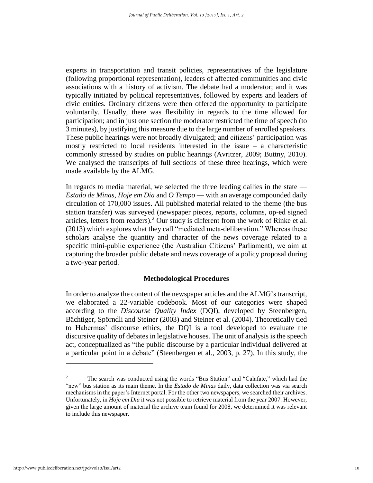experts in transportation and transit policies, representatives of the legislature (following proportional representation), leaders of affected communities and civic associations with a history of activism. The debate had a moderator; and it was typically initiated by political representatives, followed by experts and leaders of civic entities. Ordinary citizens were then offered the opportunity to participate voluntarily. Usually, there was flexibility in regards to the time allowed for participation; and in just one section the moderator restricted the time of speech (to 3 minutes), by justifying this measure due to the large number of enrolled speakers. These public hearings were not broadly divulgated; and citizens' participation was mostly restricted to local residents interested in the issue – a characteristic commonly stressed by studies on public hearings (Avritzer, 2009; Buttny, 2010). We analysed the transcripts of full sections of these three hearings, which were made available by the ALMG.

In regards to media material, we selected the three leading dailies in the state — *Estado de Minas*, *Hoje em Dia* and *O Tempo* — with an average compounded daily circulation of 170,000 issues. All published material related to the theme (the bus station transfer) was surveyed (newspaper pieces, reports, columns, op-ed signed articles, letters from readers).<sup>2</sup> Our study is different from the work of Rinke et al. (2013) which explores what they call "mediated meta-deliberation." Whereas these scholars analyse the quantity and character of the news coverage related to a specific mini-public experience (the Australian Citizens' Parliament), we aim at capturing the broader public debate and news coverage of a policy proposal during a two-year period.

#### **Methodological Procedures**

In order to analyze the content of the newspaper articles and the ALMG's transcript, we elaborated a 22-variable codebook. Most of our categories were shaped according to the *Discourse Quality Index* (DQI), developed by Steenbergen, Bächtiger, Spörndli and Steiner (2003) and Steiner et al. (2004). Theoretically tied to Habermas' discourse ethics, the DQI is a tool developed to evaluate the discursive quality of debates in legislative houses. The unit of analysis is the speech act, conceptualized as "the public discourse by a particular individual delivered at a particular point in a debate" (Steenbergen et al., 2003, p. 27). In this study, the

<u>.</u>

<sup>&</sup>lt;sup>2</sup> The search was conducted using the words "Bus Station" and "Calafate," which had the "new" bus station as its main theme. In the *Estado de Minas* daily, data collection was via search mechanisms in the paper's Internet portal. For the other two newspapers, we searched their archives. Unfortunately, in *Hoje em Dia* it was not possible to retrieve material from the year 2007. However, given the large amount of material the archive team found for 2008, we determined it was relevant to include this newspaper.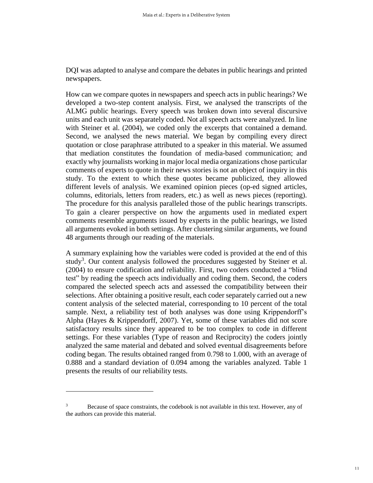DQI was adapted to analyse and compare the debates in public hearings and printed newspapers.

How can we compare quotes in newspapers and speech acts in public hearings? We developed a two-step content analysis. First, we analysed the transcripts of the ALMG public hearings. Every speech was broken down into several discursive units and each unit was separately coded. Not all speech acts were analyzed. In line with Steiner et al. (2004), we coded only the excerpts that contained a demand. Second, we analysed the news material. We began by compiling every direct quotation or close paraphrase attributed to a speaker in this material. We assumed that mediation constitutes the foundation of media-based communication; and exactly why journalists working in major local media organizations chose particular comments of experts to quote in their news stories is not an object of inquiry in this study. To the extent to which these quotes became publicized, they allowed different levels of analysis. We examined opinion pieces (op-ed signed articles, columns, editorials, letters from readers, etc.) as well as news pieces (reporting). The procedure for this analysis paralleled those of the public hearings transcripts. To gain a clearer perspective on how the arguments used in mediated expert comments resemble arguments issued by experts in the public hearings, we listed all arguments evoked in both settings. After clustering similar arguments, we found 48 arguments through our reading of the materials.

A summary explaining how the variables were coded is provided at the end of this study<sup>3</sup>. Our content analysis followed the procedures suggested by Steiner et al. (2004) to ensure codification and reliability. First, two coders conducted a "blind test" by reading the speech acts individually and coding them. Second, the coders compared the selected speech acts and assessed the compatibility between their selections. After obtaining a positive result, each coder separately carried out a new content analysis of the selected material, corresponding to 10 percent of the total sample. Next, a reliability test of both analyses was done using Krippendorff's Alpha (Hayes & Krippendorff, 2007). Yet, some of these variables did not score satisfactory results since they appeared to be too complex to code in different settings. For these variables (Type of reason and Reciprocity) the coders jointly analyzed the same material and debated and solved eventual disagreements before coding began. The results obtained ranged from 0.798 to 1.000, with an average of 0.888 and a standard deviation of 0.094 among the variables analyzed. Table 1 presents the results of our reliability tests.

1

<sup>&</sup>lt;sup>3</sup> Because of space constraints, the codebook is not available in this text. However, any of the authors can provide this material.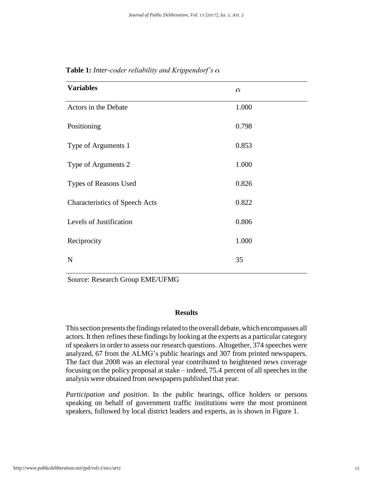| <b>Variables</b>                      | $\alpha$ |  |
|---------------------------------------|----------|--|
| Actors in the Debate                  | 1.000    |  |
| Positioning                           | 0.798    |  |
| Type of Arguments 1                   | 0.853    |  |
| Type of Arguments 2                   | 1.000    |  |
| Types of Reasons Used                 | 0.826    |  |
| <b>Characteristics of Speech Acts</b> | 0.822    |  |
| Levels of Justification               | 0.806    |  |
| Reciprocity                           | 1.000    |  |
| N                                     | 35       |  |

**Table 1:** *Inter-coder reliability and Krippendorf's* 

Source: Research Group EME/UFMG

#### **Results**

This section presents the findings related to the overall debate, which encompasses all actors. It then refines these findings by looking at the experts as a particular category of speakers in order to assess our research questions. Altogether, 374 speeches were analyzed, 67 from the ALMG's public hearings and 307 from printed newspapers. The fact that 2008 was an electoral year contributed to heightened news coverage focusing on the policy proposal at stake – indeed, 75.4 percent of all speeches in the analysis were obtained from newspapers published that year.

*Participation and position*. In the public hearings, office holders or persons speaking on behalf of government traffic institutions were the most prominent speakers, followed by local district leaders and experts, as is shown in Figure 1.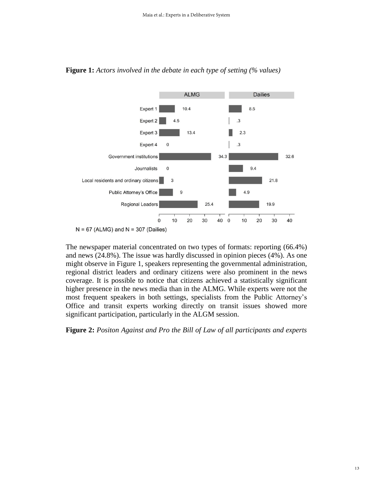

**Figure 1:** *Actors involved in the debate in each type of setting (% values)*

```
N = 67 (ALMG) and N = 307 (Dailies)
```
The newspaper material concentrated on two types of formats: reporting (66.4%) and news (24.8%). The issue was hardly discussed in opinion pieces (4%). As one might observe in Figure 1, speakers representing the governmental administration, regional district leaders and ordinary citizens were also prominent in the news coverage. It is possible to notice that citizens achieved a statistically significant higher presence in the news media than in the ALMG. While experts were not the most frequent speakers in both settings, specialists from the Public Attorney's Office and transit experts working directly on transit issues showed more significant participation, particularly in the ALGM session.

**Figure 2:** *Positon Against and Pro the Bill of Law of all participants and experts*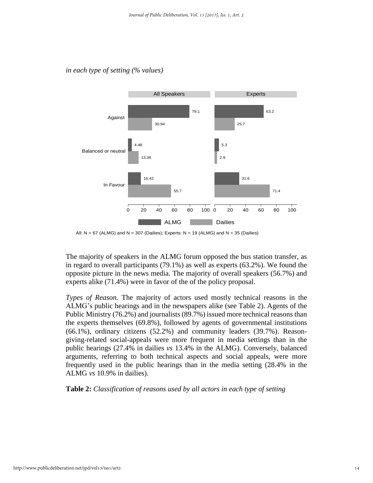

#### *in each type of setting (% values)*

All:  $N = 67$  (ALMG) and  $N = 307$  (Dailies); Experts:  $N = 19$  (ALMG) and  $N = 35$  (Dailies)

The majority of speakers in the ALMG forum opposed the bus station transfer, as in regard to overall participants (79.1%) as well as experts (63.2%). We found the opposite picture in the news media. The majority of overall speakers (56.7%) and experts alike (71.4%) were in favor of the of the policy proposal.

*Types of Reason.* The majority of actors used mostly technical reasons in the ALMG's public hearings and in the newspapers alike (see Table 2). Agents of the Public Ministry (76.2%) and journalists (89.7%) issued more technical reasons than the experts themselves (69.8%), followed by agents of governmental institutions (66.1%), ordinary citizens (52.2%) and community leaders (39.7%). Reasongiving-related social-appeals were more frequent in media settings than in the public hearings (27.4% in dailies *vs* 13.4% in the ALMG). Conversely, balanced arguments, referring to both technical aspects and social appeals, were more frequently used in the public hearings than in the media setting (28.4% in the ALMG *vs* 10.9% in dailies).

**Table 2:** *Classification of reasons used by all actors in each type of setting*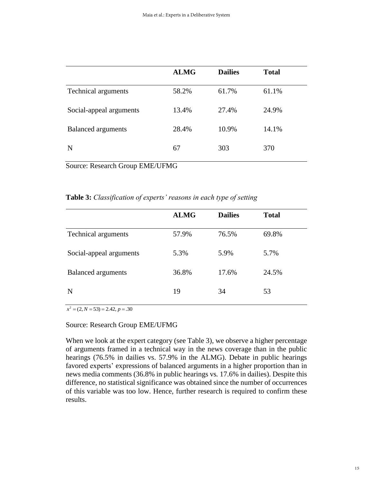|                            | <b>ALMG</b> | <b>Dailies</b> | <b>Total</b> |
|----------------------------|-------------|----------------|--------------|
| <b>Technical arguments</b> | 58.2%       | 61.7%          | 61.1%        |
| Social-appeal arguments    | 13.4%       | 27.4%          | 24.9%        |
| <b>Balanced</b> arguments  | 28.4%       | 10.9%          | 14.1%        |
| N                          | 67          | 303            | 370          |
|                            |             |                |              |

Source: Research Group EME/UFMG

**Table 3:** *Classification of experts' reasons in each type of setting*

|                            | <b>ALMG</b> | <b>Dailies</b> | <b>Total</b> |
|----------------------------|-------------|----------------|--------------|
| <b>Technical arguments</b> | 57.9%       | 76.5%          | 69.8%        |
| Social-appeal arguments    | 5.3%        | 5.9%           | 5.7%         |
| <b>Balanced</b> arguments  | 36.8%       | 17.6%          | 24.5%        |
| N                          | 19          | 34             | 53           |

 $x^{2} = (2, N = 53) = 2.42, p = .30$ 

#### Source: Research Group EME/UFMG

When we look at the expert category (see Table 3), we observe a higher percentage of arguments framed in a technical way in the news coverage than in the public hearings (76.5% in dailies vs. 57.9% in the ALMG). Debate in public hearings favored experts' expressions of balanced arguments in a higher proportion than in news media comments (36.8% in public hearings vs*.* 17.6% in dailies). Despite this difference, no statistical significance was obtained since the number of occurrences of this variable was too low. Hence, further research is required to confirm these results.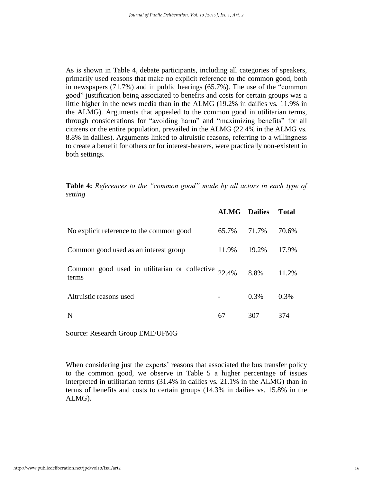As is shown in Table 4, debate participants, including all categories of speakers, primarily used reasons that make no explicit reference to the common good, both in newspapers (71.7%) and in public hearings (65.7%). The use of the "common good" justification being associated to benefits and costs for certain groups was a little higher in the news media than in the ALMG (19.2% in dailies vs*.* 11.9% in the ALMG). Arguments that appealed to the common good in utilitarian terms, through considerations for "avoiding harm" and "maximizing benefits" for all citizens or the entire population, prevailed in the ALMG (22.4% in the ALMG vs*.* 8.8% in dailies). Arguments linked to altruistic reasons, referring to a willingness to create a benefit for others or for interest-bearers, were practically non-existent in both settings.

**Table 4:** *References to the "common good" made by all actors in each type of setting*

|                                                                 | <b>ALMG</b> Dailies |         | Total |
|-----------------------------------------------------------------|---------------------|---------|-------|
| No explicit reference to the common good                        | 65.7%               | 71.7%   | 70.6% |
| Common good used as an interest group                           | 11.9%               | 19.2%   | 17.9% |
| Common good used in utilitarian or collective $22.4\%$<br>terms |                     | 8.8%    | 11.2% |
| Altruistic reasons used                                         |                     | $0.3\%$ | 0.3%  |
| N                                                               | 67                  | 307     | 374   |

Source: Research Group EME/UFMG

When considering just the experts' reasons that associated the bus transfer policy to the common good, we observe in Table 5 a higher percentage of issues interpreted in utilitarian terms (31.4% in dailies vs*.* 21.1% in the ALMG) than in terms of benefits and costs to certain groups (14.3% in dailies vs*.* 15.8% in the ALMG).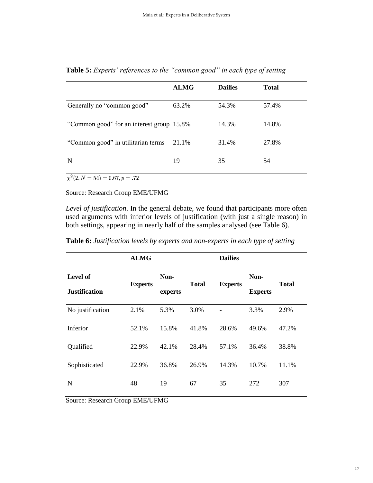|                                           | <b>ALMG</b> | <b>Dailies</b> | <b>Total</b> |
|-------------------------------------------|-------------|----------------|--------------|
| Generally no "common good"                | 63.2%       | 54.3%          | 57.4%        |
| "Common good" for an interest group 15.8% |             | 14.3%          | 14.8%        |
| "Common good" in utilitarian terms        | 21.1%       | 31.4%          | 27.8%        |
| N                                         | 19          | 35             | 54           |

**Table 5:** *Experts' references to the "common good" in each type of setting* 

 $\chi^2(2, N = 54) = 0.67, p = .72$ 

Source: Research Group EME/UFMG

*Level of justification*. In the general debate, we found that participants more often used arguments with inferior levels of justification (with just a single reason) in both settings, appearing in nearly half of the samples analysed (see Table 6).

| Table 6: Justification levels by experts and non-experts in each type of setting |  |  |  |
|----------------------------------------------------------------------------------|--|--|--|
|----------------------------------------------------------------------------------|--|--|--|

| <b>ALMG</b> |                |       | <b>Dailies</b> |                |              |
|-------------|----------------|-------|----------------|----------------|--------------|
|             | Non-           |       |                | Non-           |              |
|             | experts        |       |                | <b>Experts</b> | <b>Total</b> |
| 2.1%        | 5.3%           | 3.0%  |                | 3.3%           | 2.9%         |
| 52.1%       | 15.8%          | 41.8% | 28.6%          | 49.6%          | 47.2%        |
| 22.9%       | 42.1%          | 28.4% | 57.1%          | 36.4%          | 38.8%        |
| 22.9%       | 36.8%          | 26.9% | 14.3%          | 10.7%          | 11.1%        |
| 48          | 19             | 67    | 35             | 272            | 307          |
|             | <b>Experts</b> |       | <b>Total</b>   | <b>Experts</b> |              |

Source: Research Group EME/UFMG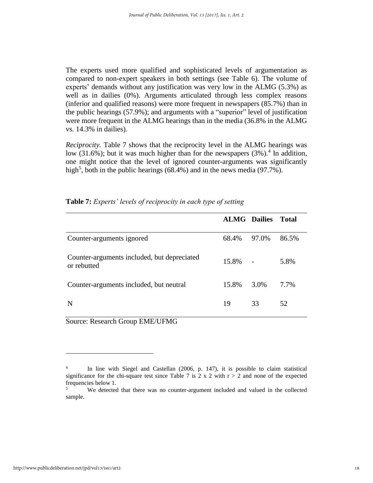The experts used more qualified and sophisticated levels of argumentation as compared to non-expert speakers in both settings (see Table 6). The volume of experts' demands without any justification was very low in the ALMG (5.3%) as well as in dailies (0%). Arguments articulated through less complex reasons (inferior and qualified reasons) were more frequent in newspapers (85.7%) than in the public hearings (57.9%); and arguments with a "superior" level of justification were more frequent in the ALMG hearings than in the media (36.8% in the ALMG vs*.* 14.3% in dailies).

*Reciprocity.* Table 7 shows that the reciprocity level in the ALMG hearings was low (31.6%); but it was much higher than for the newspapers  $(3\%)$ .<sup>4</sup> In addition, one might notice that the level of ignored counter-arguments was significantly high<sup>5</sup>, both in the public hearings (68.4%) and in the news media (97.7%).

|                                                            | <b>ALMG</b> Dailies |       | <b>Total</b> |
|------------------------------------------------------------|---------------------|-------|--------------|
| Counter-arguments ignored                                  | 68.4%               | 97.0% | 86.5%        |
| Counter-arguments included, but depreciated<br>or rebutted | 15.8%               |       | 5.8%         |
| Counter-arguments included, but neutral                    | 15.8%               | 3.0%  | 7.7%         |
| N                                                          | 19                  | 33    | 52           |

| Table 7: Experts' levels of reciprocity in each type of setting |  |
|-----------------------------------------------------------------|--|
|-----------------------------------------------------------------|--|

Source: Research Group EME/UFMG

<u>.</u>

<sup>4</sup> In line with Siegel and Castellan (2006, p. 147), it is possible to claim statistical significance for the chi-square test since Table 7 is 2 x 2 with  $r > 2$  and none of the expected frequencies below 1.<br>We detected

<sup>5</sup> We detected that there was no counter-argument included and valued in the collected sample.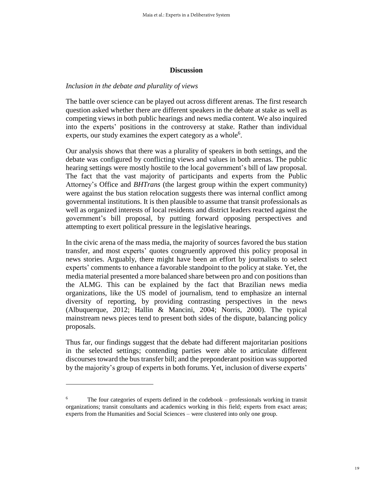#### **Discussion**

#### *Inclusion in the debate and plurality of views*

The battle over science can be played out across different arenas. The first research question asked whether there are different speakers in the debate at stake as well as competing views in both public hearings and news media content. We also inquired into the experts' positions in the controversy at stake. Rather than individual experts, our study examines the expert category as a whole<sup>6</sup>.

Our analysis shows that there was a plurality of speakers in both settings, and the debate was configured by conflicting views and values in both arenas. The public hearing settings were mostly hostile to the local government's bill of law proposal. The fact that the vast majority of participants and experts from the Public Attorney's Office and *BHTrans* (the largest group within the expert community) were against the bus station relocation suggests there was internal conflict among governmental institutions. It is then plausible to assume that transit professionals as well as organized interests of local residents and district leaders reacted against the government's bill proposal, by putting forward opposing perspectives and attempting to exert political pressure in the legislative hearings.

In the civic arena of the mass media, the majority of sources favored the bus station transfer, and most experts' quotes congruently approved this policy proposal in news stories. Arguably, there might have been an effort by journalists to select experts' comments to enhance a favorable standpoint to the policy at stake. Yet, the media material presented a more balanced share between pro and con positions than the ALMG. This can be explained by the fact that Brazilian news media organizations, like the US model of journalism, tend to emphasize an internal diversity of reporting, by providing contrasting perspectives in the news (Albuquerque, 2012; Hallin & Mancini, 2004; Norris, 2000). The typical mainstream news pieces tend to present both sides of the dispute, balancing policy proposals.

Thus far, our findings suggest that the debate had different majoritarian positions in the selected settings; contending parties were able to articulate different discoursestoward the bustransfer bill; and the preponderant position was supported by the majority's group of experts in both forums. Yet, inclusion of diverse experts'

<u>.</u>

<sup>&</sup>lt;sup>6</sup> The four categories of experts defined in the codebook – professionals working in transit organizations; transit consultants and academics working in this field; experts from exact areas; experts from the Humanities and Social Sciences – were clustered into only one group.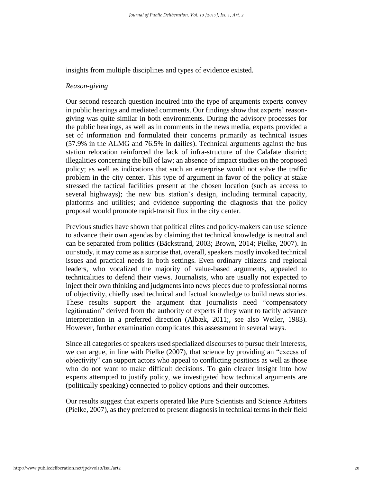insights from multiple disciplines and types of evidence existed.

#### *Reason-giving*

Our second research question inquired into the type of arguments experts convey in public hearings and mediated comments. Our findings show that experts' reasongiving was quite similar in both environments. During the advisory processes for the public hearings, as well as in comments in the news media, experts provided a set of information and formulated their concerns primarily as technical issues (57.9% in the ALMG and 76.5% in dailies). Technical arguments against the bus station relocation reinforced the lack of infra-structure of the Calafate district; illegalities concerning the bill of law; an absence of impact studies on the proposed policy; as well as indications that such an enterprise would not solve the traffic problem in the city center. This type of argument in favor of the policy at stake stressed the tactical facilities present at the chosen location (such as access to several highways); the new bus station's design, including terminal capacity, platforms and utilities; and evidence supporting the diagnosis that the policy proposal would promote rapid-transit flux in the city center.

Previous studies have shown that political elites and policy-makers can use science to advance their own agendas by claiming that technical knowledge is neutral and can be separated from politics (Bäckstrand, 2003; Brown, 2014; Pielke, 2007). In our study, it may come as a surprise that, overall, speakers mostly invoked technical issues and practical needs in both settings. Even ordinary citizens and regional leaders, who vocalized the majority of value-based arguments, appealed to technicalities to defend their views. Journalists, who are usually not expected to inject their own thinking and judgments into news pieces due to professional norms of objectivity, chiefly used technical and factual knowledge to build news stories. These results support the argument that journalists need "compensatory legitimation" derived from the authority of experts if they want to tacitly advance interpretation in a preferred direction (Albæk, 2011;, see also Weiler, 1983). However, further examination complicates this assessment in several ways.

Since all categories of speakers used specialized discourses to pursue their interests, we can argue, in line with Pielke (2007), that science by providing an "excess of objectivity" can support actors who appeal to conflicting positions as well as those who do not want to make difficult decisions. To gain clearer insight into how experts attempted to justify policy, we investigated how technical arguments are (politically speaking) connected to policy options and their outcomes.

Our results suggest that experts operated like Pure Scientists and Science Arbiters (Pielke, 2007), as they preferred to present diagnosis in technical terms in their field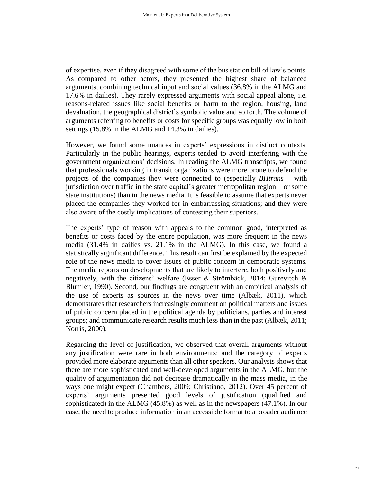of expertise, even if they disagreed with some of the bus station bill of law's points. As compared to other actors, they presented the highest share of balanced arguments, combining technical input and social values (36.8% in the ALMG and 17.6% in dailies). They rarely expressed arguments with social appeal alone, i.e. reasons-related issues like social benefits or harm to the region, housing, land devaluation, the geographical district's symbolic value and so forth. The volume of arguments referring to benefits or costs for specific groups was equally low in both settings (15.8% in the ALMG and 14.3% in dailies).

However, we found some nuances in experts' expressions in distinct contexts. Particularly in the public hearings, experts tended to avoid interfering with the government organizations' decisions. In reading the ALMG transcripts, we found that professionals working in transit organizations were more prone to defend the projects of the companies they were connected to (especially *BHtrans* – with jurisdiction over traffic in the state capital's greater metropolitan region – or some state institutions) than in the news media. It is feasible to assume that experts never placed the companies they worked for in embarrassing situations; and they were also aware of the costly implications of contesting their superiors.

The experts' type of reason with appeals to the common good, interpreted as benefits or costs faced by the entire population, was more frequent in the news media (31.4% in dailies vs. 21.1% in the ALMG). In this case, we found a statistically significant difference. This result can first be explained by the expected role of the news media to cover issues of public concern in democratic systems. The media reports on developments that are likely to interfere, both positively and negatively, with the citizens' welfare (Esser & Strömbäck, 2014; Gurevitch & Blumler, 1990). Second, our findings are congruent with an empirical analysis of the use of experts as sources in the news over time (Albæk, 2011), which demonstrates that researchers increasingly comment on political matters and issues of public concern placed in the political agenda by politicians, parties and interest groups; and communicate research results much less than in the past (Albæk, 2011; Norris, 2000).

Regarding the level of justification, we observed that overall arguments without any justification were rare in both environments; and the category of experts provided more elaborate arguments than all other speakers. Our analysis shows that there are more sophisticated and well-developed arguments in the ALMG, but the quality of argumentation did not decrease dramatically in the mass media, in the ways one might expect (Chambers, 2009; Christiano, 2012). Over 45 percent of experts' arguments presented good levels of justification (qualified and sophisticated) in the ALMG (45.8%) as well as in the newspapers (47.1%). In our case, the need to produce information in an accessible format to a broader audience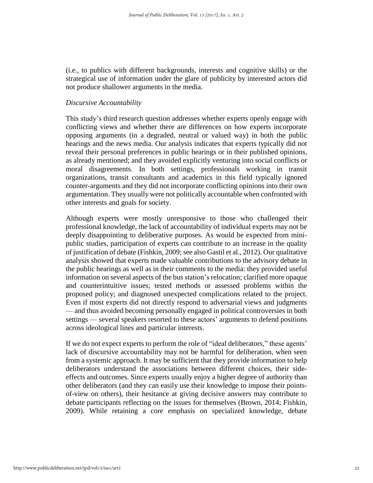(i.e., to publics with different backgrounds, interests and cognitive skills) or the strategical use of information under the glare of publicity by interested actors did not produce shallower arguments in the media.

#### *Discursive Accountability*

This study's third research question addresses whether experts openly engage with conflicting views and whether there are differences on how experts incorporate opposing arguments (in a degraded, neutral or valued way) in both the public hearings and the news media. Our analysis indicates that experts typically did not reveal their personal preferences in public hearings or in their published opinions, as already mentioned; and they avoided explicitly venturing into social conflicts or moral disagreements. In both settings, professionals working in transit organizations, transit consultants and academics in this field typically ignored counter-arguments and they did not incorporate conflicting opinions into their own argumentation. They usually were not politically accountable when confronted with other interests and goals for society.

Although experts were mostly unresponsive to those who challenged their professional knowledge, the lack of accountability of individual experts may not be deeply disappointing to deliberative purposes. As would be expected from minipublic studies, participation of experts can contribute to an increase in the quality of justification of debate (Fishkin, 2009; see also Gastil et al., 2012). Our qualitative analysis showed that experts made valuable contributions to the advisory debate in the public hearings as well as in their comments to the media: they provided useful information on several aspects of the bus station's relocation; clarified more opaque and counterintuitive issues; tested methods or assessed problems within the proposed policy; and diagnosed unexpected complications related to the project. Even if most experts did not directly respond to adversarial views and judgments — and thus avoided becoming personally engaged in political controversies in both settings — several speakers resorted to these actors' arguments to defend positions across ideological lines and particular interests.

If we do not expect experts to perform the role of "ideal deliberators," these agents' lack of discursive accountability may not be harmful for deliberation, when seen from a systemic approach. It may be sufficient that they provide information to help deliberators understand the associations between different choices, their sideeffects and outcomes. Since experts usually enjoy a higher degree of authority than other deliberators (and they can easily use their knowledge to impose their pointsof-view on others), their hesitance at giving decisive answers may contribute to debate participants reflecting on the issues for themselves (Brown, 2014; Fishkin, 2009). While retaining a core emphasis on specialized knowledge, debate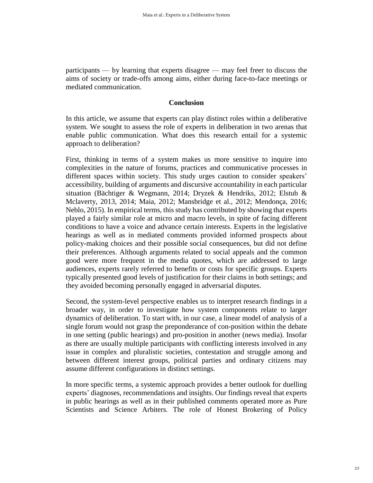participants — by learning that experts disagree — may feel freer to discuss the aims of society or trade-offs among aims, either during face-to-face meetings or mediated communication.

#### **Conclusion**

In this article, we assume that experts can play distinct roles within a deliberative system. We sought to assess the role of experts in deliberation in two arenas that enable public communication. What does this research entail for a systemic approach to deliberation?

First, thinking in terms of a system makes us more sensitive to inquire into complexities in the nature of forums, practices and communicative processes in different spaces within society. This study urges caution to consider speakers' accessibility, building of arguments and discursive accountability in each particular situation (Bächtiger & Wegmann, 2014; Dryzek & Hendriks, 2012; Elstub & Mclaverty, 2013, 2014; Maia, 2012; Mansbridge et al., 2012; Mendonça, 2016; Neblo, 2015). In empirical terms, this study has contributed by showing that experts played a fairly similar role at micro and macro levels, in spite of facing different conditions to have a voice and advance certain interests. Experts in the legislative hearings as well as in mediated comments provided informed prospects about policy-making choices and their possible social consequences, but did not define their preferences. Although arguments related to social appeals and the common good were more frequent in the media quotes, which are addressed to large audiences, experts rarely referred to benefits or costs for specific groups. Experts typically presented good levels of justification for their claims in both settings; and they avoided becoming personally engaged in adversarial disputes.

Second, the system-level perspective enables us to interpret research findings in a broader way, in order to investigate how system components relate to larger dynamics of deliberation. To start with, in our case, a linear model of analysis of a single forum would not grasp the preponderance of con-position within the debate in one setting (public hearings) and pro-position in another (news media). Insofar as there are usually multiple participants with conflicting interests involved in any issue in complex and pluralistic societies, contestation and struggle among and between different interest groups, political parties and ordinary citizens may assume different configurations in distinct settings.

In more specific terms, a systemic approach provides a better outlook for duelling experts' diagnoses, recommendations and insights. Our findings reveal that experts in public hearings as well as in their published comments operated more as Pure Scientists and Science Arbiters*.* The role of Honest Brokering of Policy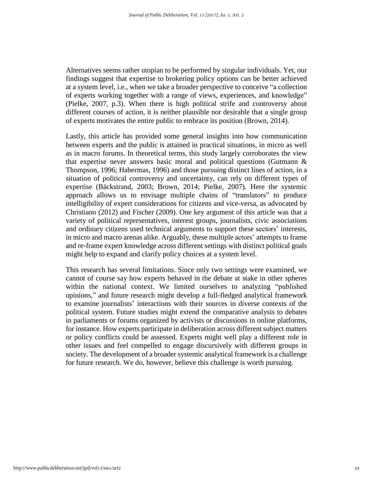Alternatives seems rather utopian to be performed by singular individuals. Yet, our findings suggest that expertise to brokering policy options can be better achieved at a system level, i.e., when we take a broader perspective to conceive "a collection of experts working together with a range of views, experiences, and knowledge" (Pielke, 2007, p.3). When there is high political strife and controversy about different courses of action, it is neither plausible nor desirable that a single group of experts motivates the entire public to embrace its position (Brown, 2014).

Lastly, this article has provided some general insights into how communication between experts and the public is attained in practical situations, in micro as well as in macro forums. In theoretical terms, this study largely corroborates the view that expertise never answers basic moral and political questions (Gutmann & Thompson, 1996; Habermas, 1996) and those pursuing distinct lines of action, in a situation of political controversy and uncertainty, can rely on different types of expertise (Bäckstrand, 2003; Brown, 2014; Pielke, 2007). Here the systemic approach allows us to envisage multiple chains of "translators" to produce intelligibility of expert considerations for citizens and vice-versa, as advocated by Christiano (2012) and Fischer (2009). One key argument of this article was that a variety of political representatives, interest groups, journalists, civic associations and ordinary citizens used technical arguments to support these sectors' interests, in micro and macro arenas alike. Arguably, these multiple actors' attempts to frame and re-frame expert knowledge across different settings with distinct political goals might help to expand and clarify policy choices at a system level.

This research has several limitations. Since only two settings were examined, we cannot of course say how experts behaved in the debate at stake in other spheres within the national context. We limited ourselves to analyzing "published opinions," and future research might develop a full-fledged analytical framework to examine journalists' interactions with their sources in diverse contexts of the political system. Future studies might extend the comparative analysis to debates in parliaments or forums organized by activists or discussions in online platforms, for instance. How experts participate in deliberation across different subject matters or policy conflicts could be assessed. Experts might well play a different role in other issues and feel compelled to engage discursively with different groups in society. The development of a broader systemic analytical framework is a challenge for future research. We do, however, believe this challenge is worth pursuing.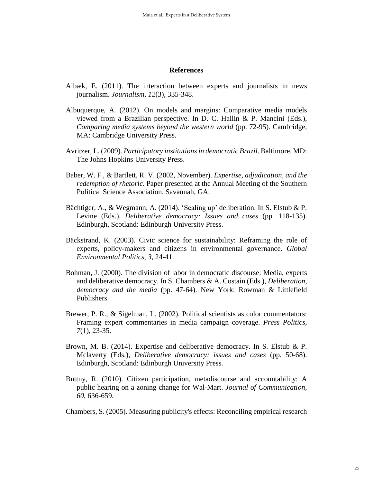#### **References**

- Albæk, E. (2011). The interaction between experts and journalists in news journalism. *Journalism, 12*(3), 335-348.
- Albuquerque, A. (2012). On models and margins: Comparative media models viewed from a Brazilian perspective. In D. C. Hallin & P. Mancini (Eds.), *Comparing media systems beyond the western world* (pp. 72-95). Cambridge, MA: Cambridge University Press.
- Avritzer, L. (2009). *Participatory institutions in democratic Brazil*. Baltimore, MD: The Johns Hopkins University Press.
- Baber, W. F., & Bartlett, R. V. (2002, November). *Expertise, adjudication, and the redemption of rhetoric*. Paper presented at the Annual Meeting of the Southern Political Science Association, Savannah, GA.
- Bächtiger, A., & Wegmann, A. (2014). 'Scaling up' deliberation. In S. Elstub & P. Levine (Eds.), *Deliberative democracy: Issues and cases* (pp. 118-135). Edinburgh, Scotland: Edinburgh University Press.
- Bäckstrand, K. (2003). Civic science for sustainability: Reframing the role of experts, policy-makers and citizens in environmental governance. *Global Environmental Politics, 3*, 24-41.
- Bohman, J. (2000). The division of labor in democratic discourse: Media, experts and deliberative democracy. In S. Chambers & A. Costain (Eds.), *Deliberation, democracy and the media* (pp. 47-64). New York: Rowman & Littlefield Publishers.
- Brewer, P. R., & Sigelman, L. (2002). Political scientists as color commentators: Framing expert commentaries in media campaign coverage. *Press Politics*, *7*(1), 23-35.
- Brown, M. B. (2014). Expertise and deliberative democracy. In S. Elstub & P. Mclaverty (Eds.), *Deliberative democracy: issues and cases* (pp. 50-68). Edinburgh, Scotland: Edinburgh University Press.
- Buttny, R. (2010). Citizen participation, metadiscourse and accountability: A public hearing on a zoning change for Wal-Mart. *Journal of Communication, 60*, 636-659.

Chambers, S. (2005). Measuring publicity's effects: Reconciling empirical research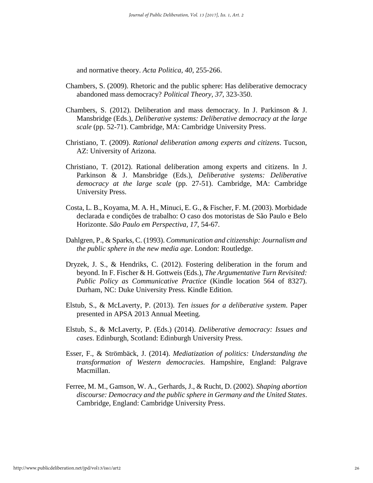and normative theory. *Acta Politica, 40*, 255-266.

- Chambers, S. (2009). Rhetoric and the public sphere: Has deliberative democracy abandoned mass democracy? *Political Theory, 37*, 323-350.
- Chambers, S. (2012). Deliberation and mass democracy. In J. Parkinson & J. Mansbridge (Eds.), *Deliberative systems: Deliberative democracy at the large scale* (pp. 52-71). Cambridge, MA: Cambridge University Press.
- Christiano, T. (2009). *Rational deliberation among experts and citizens*. Tucson, AZ: University of Arizona.
- Christiano, T. (2012). Rational deliberation among experts and citizens. In J. Parkinson & J. Mansbridge (Eds.), *Deliberative systems: Deliberative democracy at the large scale* (pp. 27-51). Cambridge, MA: Cambridge University Press.
- Costa, L. B., Koyama, M. A. H., Minuci, E. G., & Fischer, F. M. (2003). Morbidade declarada e condições de trabalho: O caso dos motoristas de São Paulo e Belo Horizonte. *São Paulo em Perspectiva, 17*, 54-67.
- Dahlgren, P., & Sparks, C. (1993). *Communication and citizenship: Journalism and the public sphere in the new media age*. London: Routledge.
- Dryzek, J. S., & Hendriks, C. (2012). Fostering deliberation in the forum and beyond. In F. Fischer & H. Gottweis (Eds.), *The Argumentative Turn Revisited: Public Policy as Communicative Practice* (Kindle location 564 of 8327). Durham, NC: Duke University Press. Kindle Edition.
- Elstub, S., & McLaverty, P. (2013). *Ten issues for a deliberative system*. Paper presented in APSA 2013 Annual Meeting.
- Elstub, S., & McLaverty, P. (Eds.) (2014). *Deliberative democracy: Issues and cases*. Edinburgh, Scotland: Edinburgh University Press.
- Esser, F., & Strömbäck, J. (2014). *Mediatization of politics: Understanding the transformation of Western democracies*. Hampshire, England: Palgrave Macmillan.
- Ferree, M. M., Gamson, W. A., Gerhards, J., & Rucht, D. (2002). *Shaping abortion discourse: Democracy and the public sphere in Germany and the United States*. Cambridge, England: Cambridge University Press.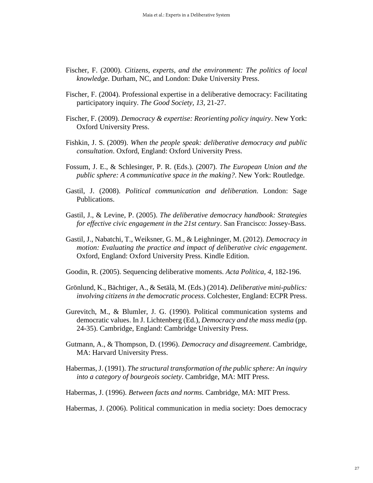- Fischer, F. (2000). *Citizens, experts, and the environment: The politics of local knowledge*. Durham, NC, and London: Duke University Press.
- Fischer, F. (2004). Professional expertise in a deliberative democracy: Facilitating participatory inquiry. *The Good Society, 13*, 21-27.
- Fischer, F. (2009). *Democracy & expertise: Reorienting policy inquiry*. New York: Oxford University Press.
- Fishkin, J. S. (2009). *When the people speak: deliberative democracy and public consultation*. Oxford, England: Oxford University Press.
- Fossum, J. E., & Schlesinger, P. R. (Eds.). (2007). *The European Union and the public sphere: A communicative space in the making?*. New York: Routledge.
- Gastil, J. (2008). *Political communication and deliberation*. London: Sage Publications.
- Gastil, J., & Levine, P. (2005). *The deliberative democracy handbook: Strategies for effective civic engagement in the 21st century*. San Francisco: Jossey-Bass.
- Gastil, J., Nabatchi, T., Weiksner, G. M., & Leighninger, M. (2012). *Democracy in motion: Evaluating the practice and impact of deliberative civic engagement*. Oxford, England: Oxford University Press. Kindle Edition.
- Goodin, R. (2005). Sequencing deliberative moments. *Acta Politica, 4*, 182-196.
- Grönlund, K., Bächtiger, A., & Setälä, M. (Eds.) (2014). *Deliberative mini-publics: involving citizens in the democratic process*. Colchester, England: ECPR Press.
- Gurevitch, M., & Blumler, J. G. (1990). Political communication systems and democratic values. In J. Lichtenberg (Ed.), *Democracy and the mass media* (pp. 24-35). Cambridge, England: Cambridge University Press.
- Gutmann, A., & Thompson, D. (1996). *Democracy and disagreement*. Cambridge, MA: Harvard University Press.
- Habermas, J. (1991). *The structural transformation of the public sphere: An inquiry into a category of bourgeois society*. Cambridge, MA: MIT Press.
- Habermas, J. (1996). *Between facts and norms*. Cambridge, MA: MIT Press.
- Habermas, J. (2006). Political communication in media society: Does democracy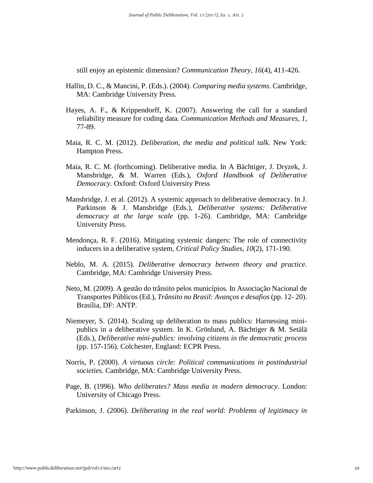still enjoy an epistemic dimension? *Communication Theory, 16*(4), 411-426.

- Hallin, D. C., & Mancini, P. (Eds.). (2004). *Comparing media systems*. Cambridge, MA: Cambridge University Press.
- Hayes, A. F., & Krippendorff, K. (2007). Answering the call for a standard reliability measure for coding data. *Communication Methods and Measures, 1*, 77-89.
- Maia, R. C. M. (2012). *Deliberation, the media and political talk.* New York: Hampton Press.
- Maia, R. C. M. (forthcoming). Deliberative media. In A Bächtiger, J. Dryzek, J. Mansbridge, & M. Warren (Eds.), *Oxford Handbook of Deliberative Democracy*. Oxford: Oxford University Press
- Mansbridge, J. et al. (2012). A systemic approach to deliberative democracy. In J. Parkinson & J. Mansbridge (Eds.), *Deliberative systems: Deliberative democracy at the large scale* (pp. 1-26). Cambridge, MA: Cambridge University Press.
- Mendonça, R. F. (2016). Mitigating systemic dangers: The role of connectivity inducers in a deliberative system, *Critical Policy Studies*, *10*(2), 171-190.
- Neblo, M. A. (2015). *Deliberative democracy between theory and practice*. Cambridge, MA: Cambridge University Press.
- Neto, M. (2009). A gestão do trânsito pelos municípios. In Associação Nacional de Transportes Públicos (Ed.), *Trânsito no Brasil: Avanços e desafios* (pp. 12- 20). Brasília, DF: ANTP.
- Niemeyer, S. (2014). Scaling up deliberation to mass publics: Harnessing minipublics in a deliberative system. In K. Grönlund, A. Bächtiger & M. Setälä (Eds.), *Deliberative mini-publics: involving citizens in the democratic process* (pp. 157-156). Colchester, England: ECPR Press.
- Norris, P. (2000). *A virtuous circle: Political communications in postindustrial societies*. Cambridge, MA: Cambridge University Press.
- Page, B. (1996). *Who deliberates? Mass media in modern democracy*. London: University of Chicago Press.
- Parkinson, J. (2006). *Deliberating in the real world: Problems of legitimacy in*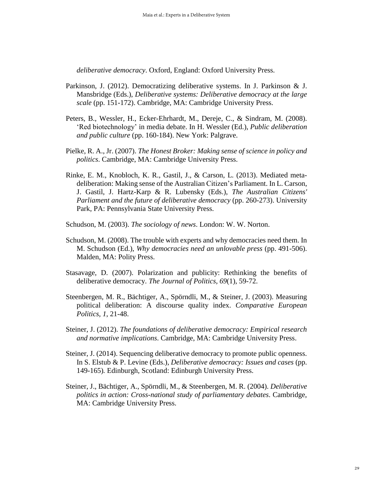*deliberative democracy*. Oxford, England: Oxford University Press.

- Parkinson, J. (2012). Democratizing deliberative systems. In J. Parkinson & J. Mansbridge (Eds.), *Deliberative systems: Deliberative democracy at the large scale* (pp. 151-172). Cambridge, MA: Cambridge University Press.
- Peters, B., Wessler, H., Ecker-Ehrhardt, M., Dereje, C., & Sindram, M. (2008). 'Red biotechnology' in media debate. In H. Wessler (Ed.), *Public deliberation and public culture* (pp. 160-184). New York: Palgrave.
- Pielke, R. A., Jr. (2007). *The Honest Broker: Making sense of science in policy and politics*. Cambridge, MA: Cambridge University Press.
- Rinke, E. M., Knobloch, K. R., Gastil, J., & Carson, L. (2013). Mediated metadeliberation: Making sense of the Australian Citizen's Parliament. In L. Carson, J. Gastil, J. Hartz-Karp & R. Lubensky (Eds.), *The Australian Citizens' Parliament and the future of deliberative democracy* (pp. 260-273). University Park, PA: Pennsylvania State University Press.
- Schudson, M. (2003). *The sociology of news*. London: W. W. Norton.
- Schudson, M. (2008). The trouble with experts and why democracies need them. In M. Schudson (Ed.), *Why democracies need an unlovable press* (pp. 491-506). Malden, MA: Polity Press.
- Stasavage, D. (2007). Polarization and publicity: Rethinking the benefits of deliberative democracy. *The Journal of Politics, 69*(1), 59-72.
- Steenbergen, M. R., Bächtiger, A., Spörndli, M., & Steiner, J. (2003). Measuring political deliberation: A discourse quality index. *Comparative European Politics, 1*, 21-48.
- Steiner, J. (2012). *The foundations of deliberative democracy: Empirical research and normative implications*. Cambridge, MA: Cambridge University Press.
- Steiner, J. (2014). Sequencing deliberative democracy to promote public openness. In S. Elstub & P. Levine (Eds.), *Deliberative democracy: Issues and cases* (pp. 149-165)*.* Edinburgh, Scotland: Edinburgh University Press.
- Steiner, J., Bächtiger, A., Spörndli, M., & Steenbergen, M. R. (2004). *Deliberative politics in action: Cross-national study of parliamentary debates*. Cambridge, MA: Cambridge University Press.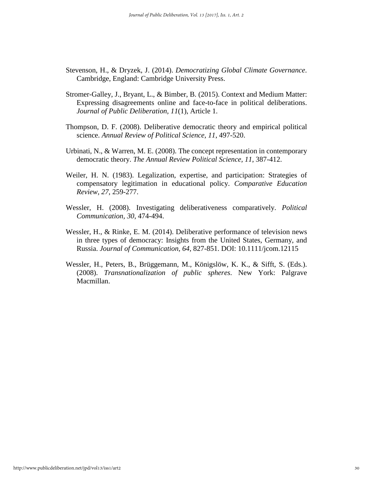- Stevenson, H., & Dryzek, J. (2014). *Democratizing Global Climate Governance*. Cambridge, England: Cambridge University Press.
- Stromer-Galley, J., Bryant, L., & Bimber, B. (2015). Context and Medium Matter: Expressing disagreements online and face-to-face in political deliberations. *Journal of Public Deliberation, 11*(1), Article 1.
- Thompson, D. F. (2008). Deliberative democratic theory and empirical political science. *Annual Review of Political Science, 11*, 497-520.
- Urbinati, N., & Warren, M. E. (2008). The concept representation in contemporary democratic theory. *The Annual Review Political Science, 11*, 387-412.
- Weiler, H. N. (1983). Legalization, expertise, and participation: Strategies of compensatory legitimation in educational policy. *Comparative Education Review, 27*, 259-277.
- Wessler, H. (2008). Investigating deliberativeness comparatively. *Political Communication, 30*, 474-494.
- Wessler, H., & Rinke, E. M. (2014). Deliberative performance of television news in three types of democracy: Insights from the United States, Germany, and Russia. *Journal of Communication, 64*, 827-851. DOI: 10.1111/jcom.12115
- Wessler, H., Peters, B., Brüggemann, M., Königslöw, K. K., & Sifft, S. (Eds.). (2008). *Transnationalization of public spheres*. New York: Palgrave Macmillan.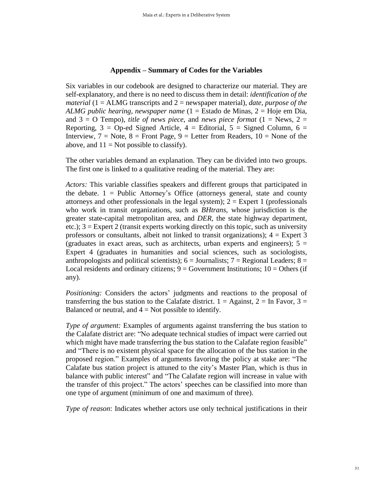#### **Appendix – Summary of Codes for the Variables**

Six variables in our codebook are designed to characterize our material. They are self-explanatory, and there is no need to discuss them in detail: *identification of the material* (1 = ALMG transcripts and 2 = newspaper material), *date*, *purpose of the ALMG public hearing*, *newspaper name* (1 = Estado de Minas, 2 = Hoje em Dia, and  $3 = O$  Tempo), *title of news piece*, and *news piece format*  $(1 = News, 2 =$ Reporting,  $3 =$  Op-ed Signed Article,  $4 =$  Editorial,  $5 =$  Signed Column,  $6 =$ Interview,  $7 = \text{Note}, 8 = \text{Front Page}, 9 = \text{Letter from Readers}, 10 = \text{None of the}$ above, and  $11 = Not possible to classify$ .

The other variables demand an explanation. They can be divided into two groups. The first one is linked to a qualitative reading of the material. They are:

*Actors:* This variable classifies speakers and different groups that participated in the debate.  $1 =$  Public Attorney's Office (attorneys general, state and county attorneys and other professionals in the legal system);  $2 =$  Expert 1 (professionals who work in transit organizations, such as *BHtrans*, whose jurisdiction is the greater state-capital metropolitan area, and *DER*, the state highway department, etc.); 3 = Expert 2 (transit experts working directly on this topic, such as university professors or consultants, albeit not linked to transit organizations);  $4 =$  Expert 3 (graduates in exact areas, such as architects, urban experts and engineers);  $5 =$ Expert 4 (graduates in humanities and social sciences, such as sociologists, anthropologists and political scientists);  $6 =$  Journalists;  $7 =$  Regional Leaders;  $8 =$ Local residents and ordinary citizens;  $9 =$  Government Institutions;  $10 =$  Others (if any).

*Positioning:* Considers the actors' judgments and reactions to the proposal of transferring the bus station to the Calafate district.  $1 =$  Against,  $2 =$  In Favor,  $3 =$ Balanced or neutral, and  $4 = Not possible to identify$ .

*Type of argument:* Examples of arguments against transferring the bus station to the Calafate district are: "No adequate technical studies of impact were carried out which might have made transferring the bus station to the Calafate region feasible" and "There is no existent physical space for the allocation of the bus station in the proposed region." Examples of arguments favoring the policy at stake are: "The Calafate bus station project is attuned to the city's Master Plan, which is thus in balance with public interest" and "The Calafate region will increase in value with the transfer of this project." The actors' speeches can be classified into more than one type of argument (minimum of one and maximum of three).

*Type of reason*: Indicates whether actors use only technical justifications in their